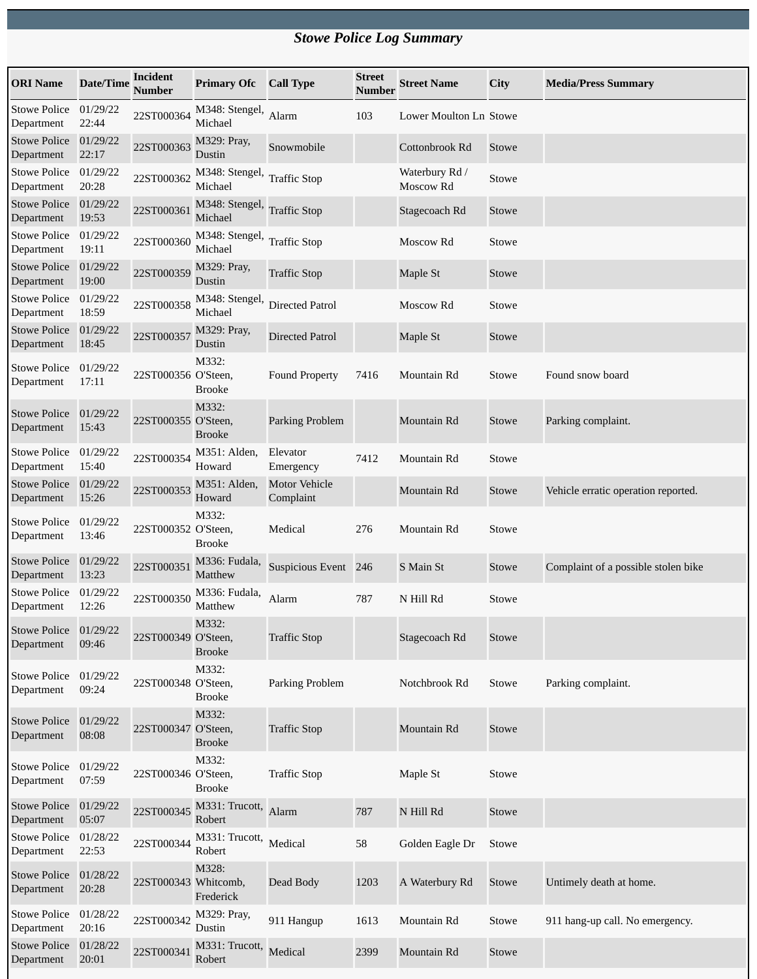## *Stowe Police Log Summary*

| <b>ORI</b> Name                   | Date/Time         | Incident<br><b>Number</b> | <b>Primary Ofc</b>        | <b>Call Type</b>                  | <b>Street</b><br><b>Number</b> | <b>Street Name</b>          | City  | <b>Media/Press Summary</b>          |
|-----------------------------------|-------------------|---------------------------|---------------------------|-----------------------------------|--------------------------------|-----------------------------|-------|-------------------------------------|
| <b>Stowe Police</b><br>Department | 01/29/22<br>22:44 | 22ST000364                | M348: Stengel,<br>Michael | Alarm                             | 103                            | Lower Moulton Ln Stowe      |       |                                     |
| <b>Stowe Police</b><br>Department | 01/29/22<br>22:17 | 22ST000363                | M329: Pray,<br>Dustin     | Snowmobile                        |                                | Cottonbrook Rd              | Stowe |                                     |
| <b>Stowe Police</b><br>Department | 01/29/22<br>20:28 | 22ST000362                | M348: Stengel,<br>Michael | <b>Traffic Stop</b>               |                                | Waterbury Rd /<br>Moscow Rd | Stowe |                                     |
| <b>Stowe Police</b><br>Department | 01/29/22<br>19:53 | 22ST000361                | M348: Stengel,<br>Michael | <b>Traffic Stop</b>               |                                | Stagecoach Rd               | Stowe |                                     |
| <b>Stowe Police</b><br>Department | 01/29/22<br>19:11 | 22ST000360                | M348: Stengel,<br>Michael | <b>Traffic Stop</b>               |                                | Moscow Rd                   | Stowe |                                     |
| <b>Stowe Police</b><br>Department | 01/29/22<br>19:00 | 22ST000359                | M329: Pray,<br>Dustin     | <b>Traffic Stop</b>               |                                | Maple St                    | Stowe |                                     |
| <b>Stowe Police</b><br>Department | 01/29/22<br>18:59 | 22ST000358                | M348: Stengel,<br>Michael | <b>Directed Patrol</b>            |                                | Moscow Rd                   | Stowe |                                     |
| <b>Stowe Police</b><br>Department | 01/29/22<br>18:45 | 22ST000357                | M329: Pray,<br>Dustin     | <b>Directed Patrol</b>            |                                | Maple St                    | Stowe |                                     |
| <b>Stowe Police</b><br>Department | 01/29/22<br>17:11 | 22ST000356 O'Steen,       | M332:<br><b>Brooke</b>    | <b>Found Property</b>             | 7416                           | Mountain Rd                 | Stowe | Found snow board                    |
| <b>Stowe Police</b><br>Department | 01/29/22<br>15:43 | 22ST000355 O'Steen,       | M332:<br><b>Brooke</b>    | Parking Problem                   |                                | Mountain Rd                 | Stowe | Parking complaint.                  |
| <b>Stowe Police</b><br>Department | 01/29/22<br>15:40 | 22ST000354                | M351: Alden,<br>Howard    | Elevator<br>Emergency             | 7412                           | Mountain Rd                 | Stowe |                                     |
| <b>Stowe Police</b><br>Department | 01/29/22<br>15:26 | 22ST000353                | M351: Alden,<br>Howard    | <b>Motor Vehicle</b><br>Complaint |                                | Mountain Rd                 | Stowe | Vehicle erratic operation reported. |
| <b>Stowe Police</b><br>Department | 01/29/22<br>13:46 | 22ST000352 O'Steen,       | M332:<br><b>Brooke</b>    | Medical                           | 276                            | Mountain Rd                 | Stowe |                                     |
| <b>Stowe Police</b><br>Department | 01/29/22<br>13:23 | 22ST000351                | M336: Fudala,<br>Matthew  | Suspicious Event 246              |                                | S Main St                   | Stowe | Complaint of a possible stolen bike |
| <b>Stowe Police</b><br>Department | 01/29/22<br>12:26 | 22ST000350                | M336: Fudala,<br>Matthew  | Alarm                             | 787                            | N Hill Rd                   | Stowe |                                     |
| <b>Stowe Police</b><br>Department | 01/29/22<br>09:46 | 22ST000349 O'Steen,       | M332:<br><b>Brooke</b>    | <b>Traffic Stop</b>               |                                | Stagecoach Rd               | Stowe |                                     |
| <b>Stowe Police</b><br>Department | 01/29/22<br>09:24 | 22ST000348 O'Steen,       | M332:<br><b>Brooke</b>    | Parking Problem                   |                                | Notchbrook Rd               | Stowe | Parking complaint.                  |
| <b>Stowe Police</b><br>Department | 01/29/22<br>08:08 | 22ST000347 O'Steen,       | M332:<br><b>Brooke</b>    | <b>Traffic Stop</b>               |                                | Mountain Rd                 | Stowe |                                     |
| <b>Stowe Police</b><br>Department | 01/29/22<br>07:59 | 22ST000346 O'Steen,       | M332:<br><b>Brooke</b>    | <b>Traffic Stop</b>               |                                | Maple St                    | Stowe |                                     |
| <b>Stowe Police</b><br>Department | 01/29/22<br>05:07 | 22ST000345                | M331: Trucott,<br>Robert  | Alarm                             | 787                            | N Hill Rd                   | Stowe |                                     |
| <b>Stowe Police</b><br>Department | 01/28/22<br>22:53 | 22ST000344                | M331: Trucott,<br>Robert  | Medical                           | 58                             | Golden Eagle Dr             | Stowe |                                     |
| <b>Stowe Police</b><br>Department | 01/28/22<br>20:28 | 22ST000343 Whitcomb,      | M328:<br>Frederick        | Dead Body                         | 1203                           | A Waterbury Rd              | Stowe | Untimely death at home.             |
| <b>Stowe Police</b><br>Department | 01/28/22<br>20:16 | 22ST000342                | M329: Pray,<br>Dustin     | 911 Hangup                        | 1613                           | Mountain Rd                 | Stowe | 911 hang-up call. No emergency.     |
| <b>Stowe Police</b><br>Department | 01/28/22<br>20:01 | 22ST000341                | M331: Trucott,<br>Robert  | Medical                           | 2399                           | Mountain Rd                 | Stowe |                                     |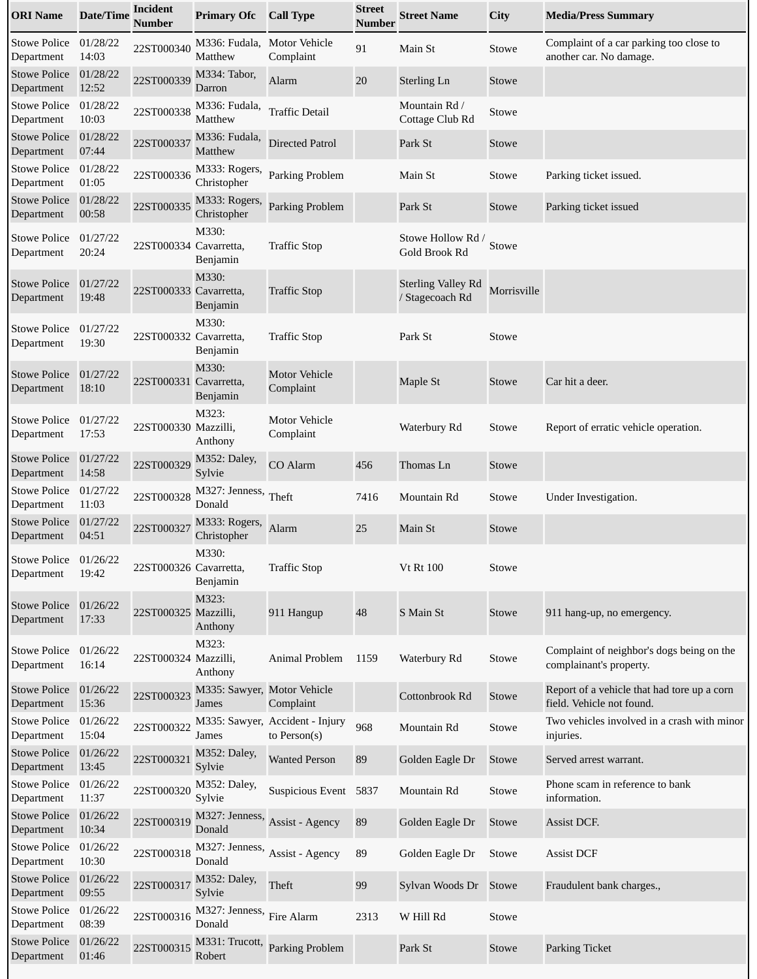| <b>ORI</b> Name                   | <b>Date/Time</b>  | Incident<br><b>Number</b> | <b>Primary Ofc</b>                   | <b>Call Type</b>                                | <b>Street</b><br><b>Number</b> | <b>Street Name</b>                           | City        | <b>Media/Press Summary</b>                                               |
|-----------------------------------|-------------------|---------------------------|--------------------------------------|-------------------------------------------------|--------------------------------|----------------------------------------------|-------------|--------------------------------------------------------------------------|
| <b>Stowe Police</b><br>Department | 01/28/22<br>14:03 | 22ST000340                | M336: Fudala,<br>Matthew             | <b>Motor Vehicle</b><br>Complaint               | 91                             | Main St                                      | Stowe       | Complaint of a car parking too close to<br>another car. No damage.       |
| <b>Stowe Police</b><br>Department | 01/28/22<br>12:52 | 22ST000339                | M334: Tabor,<br>Darron               | Alarm                                           | 20                             | <b>Sterling Ln</b>                           | Stowe       |                                                                          |
| <b>Stowe Police</b><br>Department | 01/28/22<br>10:03 | 22ST000338                | M336: Fudala,<br>Matthew             | <b>Traffic Detail</b>                           |                                | Mountain Rd /<br>Cottage Club Rd             | Stowe       |                                                                          |
| <b>Stowe Police</b><br>Department | 01/28/22<br>07:44 | 22ST000337                | M336: Fudala,<br>Matthew             | <b>Directed Patrol</b>                          |                                | Park St                                      | Stowe       |                                                                          |
| <b>Stowe Police</b><br>Department | 01/28/22<br>01:05 | 22ST000336                | M333: Rogers,<br>Christopher         | Parking Problem                                 |                                | Main St                                      | Stowe       | Parking ticket issued.                                                   |
| <b>Stowe Police</b><br>Department | 01/28/22<br>00:58 | 22ST000335                | M333: Rogers,<br>Christopher         | Parking Problem                                 |                                | Park St                                      | Stowe       | Parking ticket issued                                                    |
| <b>Stowe Police</b><br>Department | 01/27/22<br>20:24 | 22ST000334 Cavarretta,    | M330:<br>Benjamin                    | <b>Traffic Stop</b>                             |                                | Stowe Hollow Rd /<br>Gold Brook Rd           | Stowe       |                                                                          |
| <b>Stowe Police</b><br>Department | 01/27/22<br>19:48 | 22ST000333 Cavarretta,    | M330:<br>Benjamin                    | <b>Traffic Stop</b>                             |                                | <b>Sterling Valley Rd</b><br>/ Stagecoach Rd | Morrisville |                                                                          |
| <b>Stowe Police</b><br>Department | 01/27/22<br>19:30 | 22ST000332 Cavarretta,    | M330:<br>Benjamin                    | <b>Traffic Stop</b>                             |                                | Park St                                      | Stowe       |                                                                          |
| <b>Stowe Police</b><br>Department | 01/27/22<br>18:10 | 22ST000331 Cavarretta,    | M330:<br>Benjamin                    | <b>Motor Vehicle</b><br>Complaint               |                                | Maple St                                     | Stowe       | Car hit a deer.                                                          |
| <b>Stowe Police</b><br>Department | 01/27/22<br>17:53 | 22ST000330 Mazzilli,      | M323:<br>Anthony                     | <b>Motor Vehicle</b><br>Complaint               |                                | Waterbury Rd                                 | Stowe       | Report of erratic vehicle operation.                                     |
| <b>Stowe Police</b><br>Department | 01/27/22<br>14:58 | 22ST000329                | M352: Daley,<br>Sylvie               | CO Alarm                                        | 456                            | Thomas Ln                                    | Stowe       |                                                                          |
| <b>Stowe Police</b><br>Department | 01/27/22<br>11:03 | 22ST000328                | M327: Jenness,<br>Donald             | Theft                                           | 7416                           | Mountain Rd                                  | Stowe       | Under Investigation.                                                     |
| <b>Stowe Police</b><br>Department | 01/27/22<br>04:51 | 22ST000327                | M333: Rogers,<br>Christopher         | Alarm                                           | 25                             | Main St                                      | Stowe       |                                                                          |
| <b>Stowe Police</b><br>Department | 01/26/22<br>19:42 | 22ST000326 Cavarretta,    | M330:<br>Benjamin                    | <b>Traffic Stop</b>                             |                                | <b>Vt Rt 100</b>                             | Stowe       |                                                                          |
| <b>Stowe Police</b><br>Department | 01/26/22<br>17:33 | 22ST000325 Mazzilli,      | M323:<br>Anthony                     | 911 Hangup                                      | 48                             | S Main St                                    | Stowe       | 911 hang-up, no emergency.                                               |
| <b>Stowe Police</b><br>Department | 01/26/22<br>16:14 | 22ST000324 Mazzilli,      | M323:<br>Anthony                     | Animal Problem                                  | 1159                           | Waterbury Rd                                 | Stowe       | Complaint of neighbor's dogs being on the<br>complainant's property.     |
| <b>Stowe Police</b><br>Department | 01/26/22<br>15:36 | 22ST000323                | M335: Sawyer, Motor Vehicle<br>James | Complaint                                       |                                | Cottonbrook Rd                               | Stowe       | Report of a vehicle that had tore up a corn<br>field. Vehicle not found. |
| <b>Stowe Police</b><br>Department | 01/26/22<br>15:04 | 22ST000322                | James                                | M335: Sawyer, Accident - Injury<br>to Person(s) | 968                            | Mountain Rd                                  | Stowe       | Two vehicles involved in a crash with minor<br>injuries.                 |
| <b>Stowe Police</b><br>Department | 01/26/22<br>13:45 | 22ST000321                | M352: Daley,<br>Sylvie               | <b>Wanted Person</b>                            | 89                             | Golden Eagle Dr                              | Stowe       | Served arrest warrant.                                                   |
| <b>Stowe Police</b><br>Department | 01/26/22<br>11:37 | 22ST000320                | M352: Daley,<br>Sylvie               | <b>Suspicious Event</b>                         | 5837                           | Mountain Rd                                  | Stowe       | Phone scam in reference to bank<br>information.                          |
| <b>Stowe Police</b><br>Department | 01/26/22<br>10:34 | 22ST000319                | M327: Jenness,<br>Donald             | Assist - Agency                                 | 89                             | Golden Eagle Dr                              | Stowe       | Assist DCF.                                                              |
| <b>Stowe Police</b><br>Department | 01/26/22<br>10:30 | 22ST000318                | M327: Jenness,<br>Donald             | Assist - Agency                                 | 89                             | Golden Eagle Dr                              | Stowe       | <b>Assist DCF</b>                                                        |
| <b>Stowe Police</b><br>Department | 01/26/22<br>09:55 | 22ST000317                | M352: Daley,<br>Sylvie               | Theft                                           | 99                             | Sylvan Woods Dr                              | Stowe       | Fraudulent bank charges.,                                                |
| <b>Stowe Police</b><br>Department | 01/26/22<br>08:39 | 22ST000316                | M327: Jenness,<br>Donald             | Fire Alarm                                      | 2313                           | W Hill Rd                                    | Stowe       |                                                                          |
| <b>Stowe Police</b><br>Department | 01/26/22<br>01:46 | 22ST000315                | M331: Trucott,<br>Robert             | <b>Parking Problem</b>                          |                                | Park St                                      | Stowe       | <b>Parking Ticket</b>                                                    |